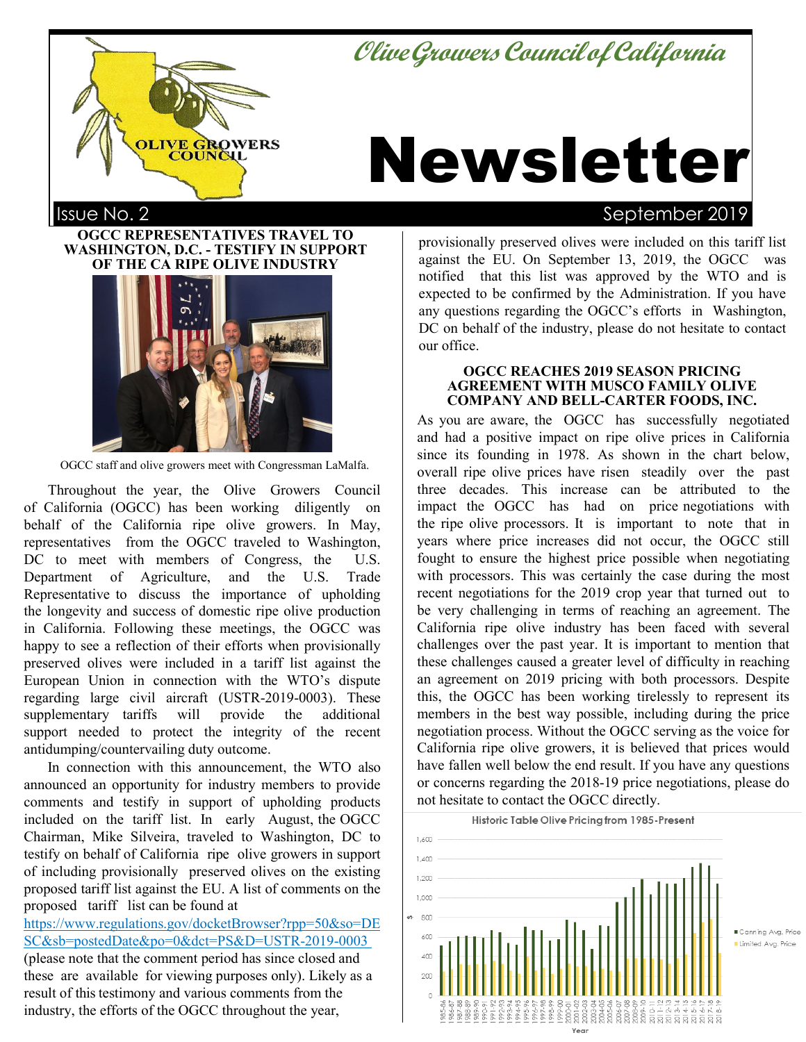**OliveGrowersCouncilofCalifornia**



# Newsletter

# Issue No. 2 September 2019

**OGCC REPRESENTATIVES TRAVEL TO WASHINGTON, D.C. - TESTIFY IN SUPPORT OF THE CA RIPE OLIVE INDUSTRY**



OGCC staff and olive growers meet with Congressman LaMalfa.

Throughout the year, the Olive Growers Council of California (OGCC) has been working diligently on behalf of the California ripe olive growers. In May, representatives from the OGCC traveled to Washington, DC to meet with members of Congress, the U.S. Department of Agriculture, and the U.S. Trade Representative to discuss the importance of upholding the longevity and success of domestic ripe olive production in California. Following these meetings, the OGCC was happy to see a reflection of their efforts when provisionally preserved olives were included in a tariff list against the European Union in connection with the WTO's dispute regarding large civil aircraft (USTR-2019-0003). These supplementary tariffs will provide the additional support needed to protect the integrity of the recent antidumping/countervailing duty outcome.

In connection with this announcement, the WTO also announced an opportunity for industry members to provide comments and testify in support of upholding products included on the tariff list. In early August, the OGCC Chairman, Mike Silveira, traveled to Washington, DC to testify on behalf of California ripe olive growers in support of including provisionally preserved olives on the existing proposed tariff list against the EU. A list of comments on the proposed tariff list can be found at

https://www.regulations.gov/docketBrowser?rpp=50&so=DE SC&sb=postedDate&po=0&dct=PS&D=USTR-2019-0003 [\(please note](mailto:JRamos@theogcc.org) that the comment period has since closed and these are available for viewing purposes only). Likely as a result of this testimony and various comments from the industry, the efforts of the OGCC throughout the year,

provisionally preserved olives were included on this tariff list against the EU. On September 13, 2019, the OGCC was notified that this list was approved by the WTO and is expected to be confirmed by the Administration. If you have any questions regarding the OGCC's efforts in Washington, DC on behalf of the industry, please do not hesitate to contact our office.

#### **OGCC REACHES 2019 SEASON PRICING AGREEMENT WITH MUSCO FAMILY OLIVE COMPANY AND BELL-CARTER FOODS, INC.**

As you are aware, the OGCC has successfully negotiated and had a positive impact on ripe olive prices in California since its founding in 1978. As shown in the chart below, overall ripe olive prices have risen steadily over the past three decades. This increase can be attributed to the impact the OGCC has had on price negotiations with the ripe olive processors. It is important to note that in years where price increases did not occur, the OGCC still fought to ensure the highest price possible when negotiating with processors. This was certainly the case during the most recent negotiations for the 2019 crop year that turned out to be very challenging in terms of reaching an agreement. The California ripe olive industry has been faced with several challenges over the past year. It is important to mention that these challenges caused a greater level of difficulty in reaching an agreement on 2019 pricing with both processors. Despite this, the OGCC has been working tirelessly to represent its members in the best way possible, including during the price negotiation process. Without the OGCC serving as the voice for California ripe olive growers, it is believed that prices would have fallen well below the end result. If you have any questions or concerns regarding the 2018-19 price negotiations, please do not hesitate to contact the OGCC directly.